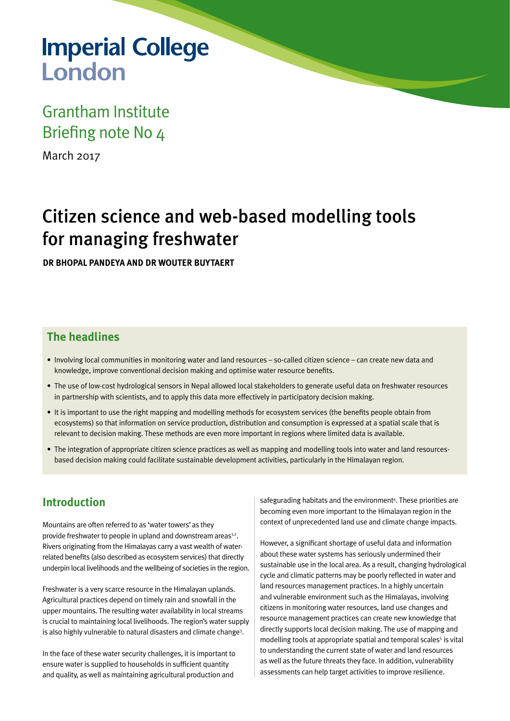# **Imperial College** London

## Grantham Institute Briefing note No 4

March 2017

## Citizen science and web-based modelling tools for managing freshwater

**DR BHOPAL PANDEYA AND DR WOUTER BUYTAERT** 

#### **The headlines**

- • Involving local communities in monitoring water and land resources so-called citizen science can create new data and knowledge, improve conventional decision making and optimise water resource benefits.
- • The use of low-cost hydrological sensors in Nepal allowed local stakeholders to generate useful data on freshwater resources in partnership with scientists, and to apply this data more effectively in participatory decision making.
- It is important to use the right mapping and modelling methods for ecosystem services (the benefits people obtain from ecosystems) so that information on service production, distribution and consumption is expressed at a spatial scale that is relevant to decision making. These methods are even more important in regions where limited data is available.
- The integration of appropriate citizen science practices as well as mapping and modelling tools into water and land resourcesbased decision making could facilitate sustainable development activities, particularly in the Himalayan region.

#### **Introduction**

Mountains are often referred to as 'water towers' as they provide freshwater to people in upland and downstream areas<sup>1,2</sup>. Rivers originating from the Himalayas carry a vast wealth of waterrelated benefits (also described as ecosystem services) that directly underpin local livelihoods and the wellbeing of societies in the region.

Freshwater is a very scarce resource in the Himalayan uplands. Agricultural practices depend on timely rain and snowfall in the upper mountains. The resulting water availability in local streams is crucial to maintaining local livelihoods. The region's water supply is also highly vulnerable to natural disasters and climate change<sup>3</sup>.

In the face of these water security challenges, it is important to ensure water is supplied to households in sufficient quantity and quality, as well as maintaining agricultural production and

safegurading habitats and the environment<sup>4</sup>. These priorities are becoming even more important to the Himalayan region in the context of unprecedented land use and climate change impacts.

However, a significant shortage of useful data and information about these water systems has seriously undermined their sustainable use in the local area. As a result, changing hydrological cycle and climatic patterns may be poorly reflected in water and land resources management practices. In a highly uncertain and vulnerable environment such as the Himalayas, involving citizens in monitoring water resources, land use changes and resource management practices can create new knowledge that directly supports local decision making. The use of mapping and modelling tools at appropriate spatial and temporal scales<sup>5</sup> is vital to understanding the current state of water and land resources as well as the future threats they face. In addition, vulnerability assessments can help target activities to improve resilience.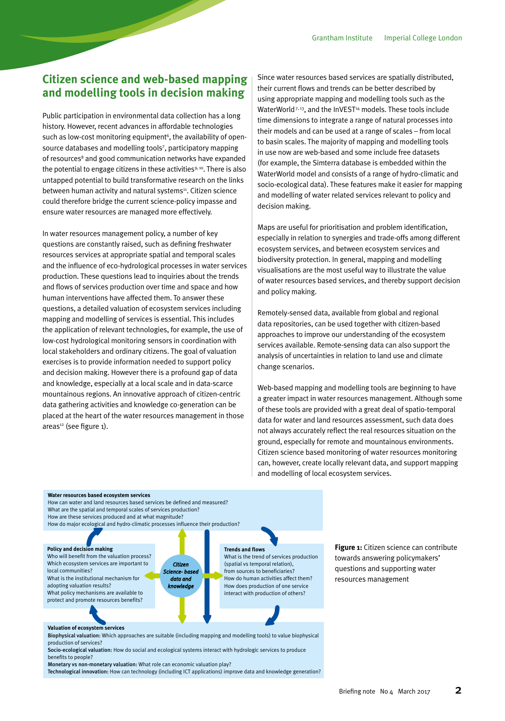#### **Citizen science and web-based mapping and modelling tools in decision making**

Public participation in environmental data collection has a long history. However, recent advances in affordable technologies such as low-cost monitoring equipment<sup>6</sup>, the availability of opensource databases and modelling tools<sup>7</sup>, participatory mapping of resources<sup>8</sup> and good communication networks have expanded the potential to engage citizens in these activities<sup>9, 10</sup>. There is also untapped potential to build transformative research on the links between human activity and natural systems<sup>11</sup>. Citizen science could therefore bridge the current science-policy impasse and ensure water resources are managed more effectively.

In water resources management policy, a number of key questions are constantly raised, such as defining freshwater resources services at appropriate spatial and temporal scales and the influence of eco-hydrological processes in water services production. These questions lead to inquiries about the trends and flows of services production over time and space and how human interventions have affected them. To answer these questions, a detailed valuation of ecosystem services including mapping and modelling of services is essential. This includes the application of relevant technologies, for example, the use of low-cost hydrological monitoring sensors in coordination with local stakeholders and ordinary citizens. The goal of valuation exercises is to provide information needed to support policy and decision making. However there is a profound gap of data and knowledge, especially at a local scale and in data-scarce mountainous regions. An innovative approach of citizen-centric data gathering activities and knowledge co-generation can be placed at the heart of the water resources management in those areas<sup>12</sup> (see figure 1).

Since water resources based services are spatially distributed, their current flows and trends can be better described by using appropriate mapping and modelling tools such as the WaterWorld<sup>7, 13</sup>, and the InVEST<sup>14</sup> models. These tools include time dimensions to integrate a range of natural processes into their models and can be used at a range of scales – from local to basin scales. The majority of mapping and modelling tools in use now are web-based and some include free datasets (for example, the Simterra database is embedded within the WaterWorld model and consists of a range of hydro-climatic and socio-ecological data). These features make it easier for mapping and modelling of water related services relevant to policy and decision making.

Maps are useful for prioritisation and problem identification, especially in relation to synergies and trade-offs among different ecosystem services, and between ecosystem services and biodiversity protection. In general, mapping and modelling visualisations are the most useful way to illustrate the value of water resources based services, and thereby support decision and policy making.

Remotely-sensed data, available from global and regional data repositories, can be used together with citizen-based approaches to improve our understanding of the ecosystem services available. Remote-sensing data can also support the analysis of uncertainties in relation to land use and climate change scenarios.

Web-based mapping and modelling tools are beginning to have a greater impact in water resources management. Although some of these tools are provided with a great deal of spatio-temporal data for water and land resources assessment, such data does not always accurately reflect the real resources situation on the ground, especially for remote and mountainous environments. Citizen science based monitoring of water resources monitoring can, however, create locally relevant data, and support mapping and modelling of local ecosystem services.

#### **Water resources based ecosystem services** How can water and land resources based services be defined and measured? What are the spatial and temporal scales of services production? How are these services produced and at what magnitude? How do major ecological and hydro-climatic processes influence their production? **Valuation of ecosystem services** Biophysical valuation: Which approaches are suitable (including mapping and modelling tools) to value biophysical production of services? **Policy and decision making** Who will benefit from the valuation process? Which ecosystem services are important to local communities? What is the institutional mechanism for adopting valuation results? What policy mechanisms are available to protect and promote resources benefits? **Trends and flows**  What is the trend of services production (spatial vs temporal relation), from sources to beneficiaries? How do human activities affect them? How does production of one service interact with production of others? *Citizen* Science- base *data and knowledge*

Socio-ecological valuation: How do social and ecological systems interact with hydrologic services to produce benefits to people?

Monetary vs non-monetary valuation: What role can economic valuation play? Technological innovation: How can technology (including ICT applications) improve data and knowledge generation? **Figure 1:** Citizen science can contribute towards answering policymakers' questions and supporting water resources management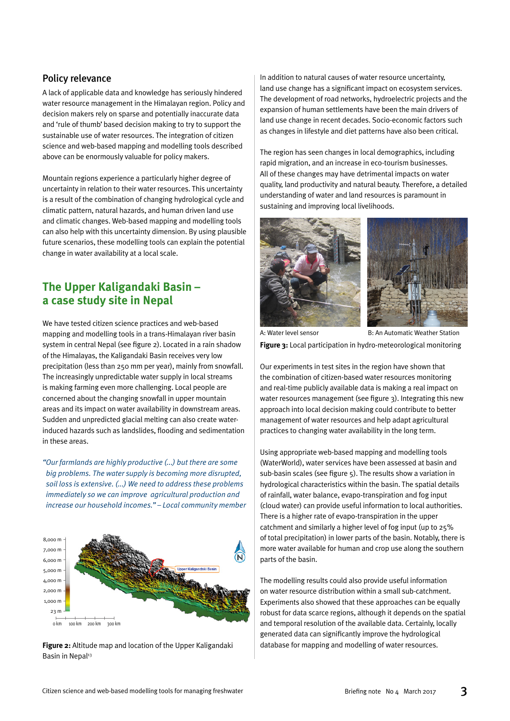#### Policy relevance

A lack of applicable data and knowledge has seriously hindered water resource management in the Himalayan region. Policy and decision makers rely on sparse and potentially inaccurate data and 'rule of thumb' based decision making to try to support the sustainable use of water resources. The integration of citizen science and web-based mapping and modelling tools described above can be enormously valuable for policy makers.

Mountain regions experience a particularly higher degree of uncertainty in relation to their water resources. This uncertainty is a result of the combination of changing hydrological cycle and climatic pattern, natural hazards, and human driven land use and climatic changes. Web-based mapping and modelling tools can also help with this uncertainty dimension. By using plausible future scenarios, these modelling tools can explain the potential change in water availability at a local scale.

#### **The Upper Kaligandaki Basin – a case study site in Nepal**

We have tested citizen science practices and web-based mapping and modelling tools in a trans-Himalayan river basin system in central Nepal (see figure 2). Located in a rain shadow of the Himalayas, the Kaligandaki Basin receives very low precipitation (less than 250 mm per year), mainly from snowfall. The increasingly unpredictable water supply in local streams is making farming even more challenging. Local people are concerned about the changing snowfall in upper mountain areas and its impact on water availability in downstream areas. Sudden and unpredicted glacial melting can also create waterinduced hazards such as landslides, flooding and sedimentation in these areas.

*"Our farmlands are highly productive (...) but there are some big problems. The water supply is becoming more disrupted, soil loss is extensive. (...) We need to address these problems immediately so we can improve agricultural production and increase our household incomes." – Local community member*



**Figure 2:** Altitude map and location of the Upper Kaligandaki database for mapping and modelling of water resources. Basin in Nepal<sup>13</sup>

In addition to natural causes of water resource uncertainty, land use change has a significant impact on ecosystem services. The development of road networks, hydroelectric projects and the expansion of human settlements have been the main drivers of land use change in recent decades. Socio-economic factors such as changes in lifestyle and diet patterns have also been critical.

The region has seen changes in local demographics, including rapid migration, and an increase in eco-tourism businesses. All of these changes may have detrimental impacts on water quality, land productivity and natural beauty. Therefore, a detailed understanding of water and land resources is paramount in sustaining and improving local livelihoods.





**Figure 3:** Local participation in hydro-meteorological monitoring A: Water level sensor B: An Automatic Weather Station

Our experiments in test sites in the region have shown that the combination of citizen-based water resources monitoring and real-time publicly available data is making a real impact on water resources management (see figure 3). Integrating this new approach into local decision making could contribute to better management of water resources and help adapt agricultural practices to changing water availability in the long term.

Using appropriate web-based mapping and modelling tools (WaterWorld), water services have been assessed at basin and sub-basin scales (see figure 5). The results show a variation in hydrological characteristics within the basin. The spatial details of rainfall, water balance, evapo-transpiration and fog input (cloud water) can provide useful information to local authorities. There is a higher rate of evapo-transpiration in the upper catchment and similarly a higher level of fog input (up to 25% of total precipitation) in lower parts of the basin. Notably, there is more water available for human and crop use along the southern parts of the basin.

The modelling results could also provide useful information on water resource distribution within a small sub-catchment. Experiments also showed that these approaches can be equally robust for data scarce regions, although it depends on the spatial and temporal resolution of the available data. Certainly, locally generated data can significantly improve the hydrological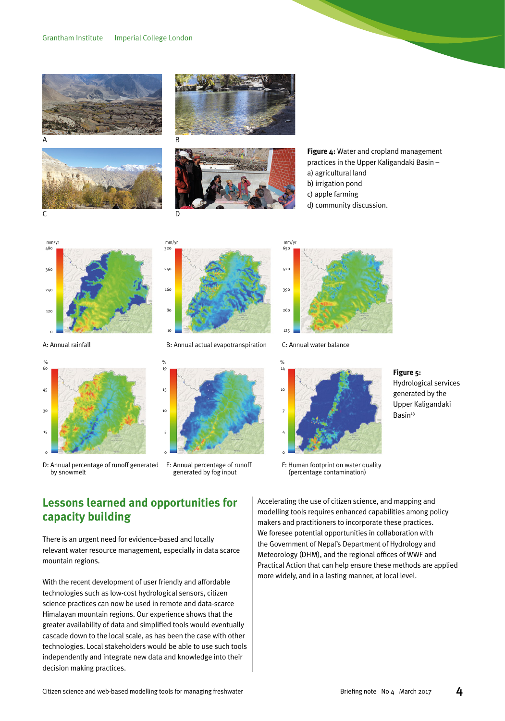







**Figure 4:** Water and cropland management practices in the Upper Kaligandaki Basin – a) agricultural land

- b) irrigation pond
- c) apple farming
- d) community discussion.

480 **збс**  $240$ 120 0  $mm/y$ 

A: Annual rainfall



D: Annual percentage of runoff generated by snowmelt



B: Annual actual evapotranspiration



E: Annual percentage of runoff generated by fog input



C: Annual water balance



**Figure 5:**  Hydrological services generated by the Upper Kaligandaki Basin<sup>13</sup>

F: Human footprint on water quality (percentage contamination)

#### **Lessons learned and opportunities for capacity building**

There is an urgent need for evidence-based and locally relevant water resource management, especially in data scarce mountain regions.

With the recent development of user friendly and affordable technologies such as low-cost hydrological sensors, citizen science practices can now be used in remote and data-scarce Himalayan mountain regions. Our experience shows that the greater availability of data and simplified tools would eventually cascade down to the local scale, as has been the case with other technologies. Local stakeholders would be able to use such tools independently and integrate new data and knowledge into their decision making practices.

Accelerating the use of citizen science, and mapping and modelling tools requires enhanced capabilities among policy makers and practitioners to incorporate these practices. We foresee potential opportunities in collaboration with the Government of Nepal's Department of Hydrology and Meteorology (DHM), and the regional offices of WWF and Practical Action that can help ensure these methods are applied more widely, and in a lasting manner, at local level.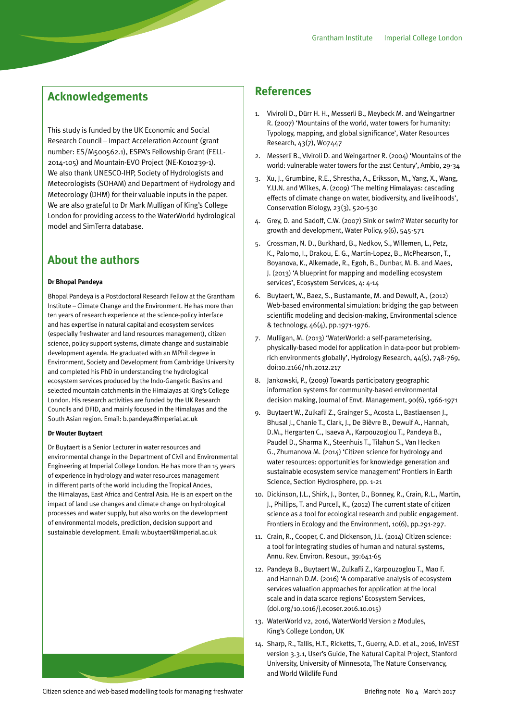#### **Acknowledgements**

This study is funded by the UK Economic and Social Research Council – Impact Acceleration Account (grant number: ES/M500562.1), ESPA's Fellowship Grant (FELL-2014-105) and Mountain-EVO Project (NE-K010239-1). We also thank UNESCO-IHP, Society of Hydrologists and Meteorologists (SOHAM) and Department of Hydrology and Meteorology (DHM) for their valuable inputs in the paper. We are also grateful to Dr Mark Mulligan of King's College London for providing access to the WaterWorld hydrological model and SimTerra database.

#### **About the authors**

#### **Dr Bhopal Pandeya**

Bhopal Pandeya is a Postdoctoral Research Fellow at the Grantham Institute – Climate Change and the Environment. He has more than ten years of research experience at the science-policy interface and has expertise in natural capital and ecosystem services (especially freshwater and land resources management), citizen science, policy support systems, climate change and sustainable development agenda. He graduated with an MPhil degree in Environment, Society and Development from Cambridge University and completed his PhD in understanding the hydrological ecosystem services produced by the Indo-Gangetic Basins and selected mountain catchments in the Himalayas at King's College London. His research activities are funded by the UK Research Councils and DFID, and mainly focused in the Himalayas and the South Asian region. Email: b.pandeya@imperial.ac.uk

#### **Dr Wouter Buytaert**

Dr Buytaert is a Senior Lecturer in water resources and environmental change in the Department of Civil and Environmental Engineering at Imperial College London. He has more than 15 years of experience in hydrology and water resources management in different parts of the world including the Tropical Andes, the Himalayas, East Africa and Central Asia. He is an expert on the impact of land use changes and climate change on hydrological processes and water supply, but also works on the development of environmental models, prediction, decision support and sustainable development. Email: w.buytaert@imperial.ac.uk



#### **References**

- 1. Viviroli D., Dürr H. H., Messerli B., Meybeck M. and Weingartner R. (2007) 'Mountains of the world, water towers for humanity: Typology, mapping, and global significance', Water Resources Research, 43(7), W07447
- 2. Messerli B., Viviroli D. and Weingartner R. (2004) 'Mountains of the world: vulnerable water towers for the 21st Century', Ambio, 29-34
- 3. Xu, J., Grumbine, R.E., Shrestha, A., Eriksson, M., Yang, X., Wang, Y.U.N. and Wilkes, A. (2009) 'The melting Himalayas: cascading effects of climate change on water, biodiversity, and livelihoods', Conservation Biology, 23(3), 520-530
- 4. Grey, D. and Sadoff, C.W. (2007) Sink or swim? Water security for growth and development, Water Policy, 9(6), 545-571
- 5. Crossman, N. D., Burkhard, B., Nedkov, S., Willemen, L., Petz, K., Palomo, I., Drakou, E. G., Martín-Lopez, B., McPhearson, T., Boyanova, K., Alkemade, R., Egoh, B., Dunbar, M. B. and Maes, J. (2013) 'A blueprint for mapping and modelling ecosystem services', Ecosystem Services, 4: 4-14
- 6. Buytaert, W., Baez, S., Bustamante, M. and Dewulf, A., (2012) Web-based environmental simulation: bridging the gap between scientific modeling and decision-making, Environmental science & technology, 46(4), pp.1971-1976.
- 7. Mulligan, M. (2013) 'WaterWorld: a self-parameterising, physically-based model for application in data-poor but problemrich environments globally', Hydrology Research, 44(5), 748-769, doi:10.2166/nh.2012.217
- 8. Jankowski, P., (2009) Towards participatory geographic information systems for community-based environmental decision making, Journal of Envt. Management, 90(6), 1966-1971
- 9. Buytaert W., Zulkafli Z., Grainger S., Acosta L., Bastiaensen J., Bhusal J., Chanie T., Clark, J., De Bièvre B., Dewulf A., Hannah, D.M., Hergarten C., Isaeva A., Karpouzoglou T., Pandeya B., Paudel D., Sharma K., Steenhuis T., Tilahun S., Van Hecken G., Zhumanova M. (2014) 'Citizen science for hydrology and water resources: opportunities for knowledge generation and sustainable ecosystem service management' Frontiers in Earth Science, Section Hydrosphere, pp. 1-21
- 10. Dickinson, J.L., Shirk, J., Bonter, D., Bonney, R., Crain, R.L., Martin, J., Phillips, T. and Purcell, K., (2012) The current state of citizen science as a tool for ecological research and public engagement. Frontiers in Ecology and the Environment, 10(6), pp.291-297.
- 11. Crain, R., Cooper, C. and Dickenson, J.L. (2014) Citizen science: a tool for integrating studies of human and natural systems, Annu. Rev. Environ. Resour., 39:641-65
- 12. Pandeya B., Buytaert W., Zulkafli Z., Karpouzoglou T., Mao F. and Hannah D.M. (2016) 'A comparative analysis of ecosystem services valuation approaches for application at the local scale and in data scarce regions' Ecosystem Services, (doi.org/10.1016/j.ecoser.2016.10.015)
- 13. WaterWorld v2, 2016, WaterWorld Version 2 Modules, King's College London, UK
- 14. Sharp, R., Tallis, H.T., Ricketts, T., Guerry, A.D. et al., 2016, InVEST version 3.3.1, User's Guide, The Natural Capital Project, Stanford University, University of Minnesota, The Nature Conservancy, and World Wildlife Fund

Citizen science and web-based modelling tools for managing freshwater and the state of the Briefing note No 4 March 2017